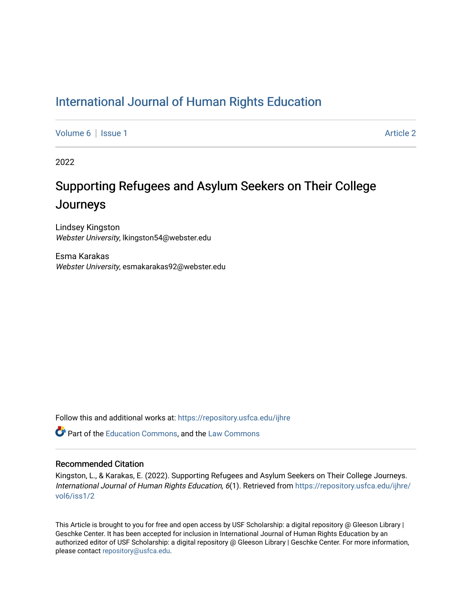### [International Journal of Human Rights Education](https://repository.usfca.edu/ijhre)

[Volume 6](https://repository.usfca.edu/ijhre/vol6) | [Issue 1](https://repository.usfca.edu/ijhre/vol6/iss1) Article 2

2022

## Supporting Refugees and Asylum Seekers on Their College Journeys

Lindsey Kingston Webster University, lkingston54@webster.edu

Esma Karakas Webster University, esmakarakas92@webster.edu

Follow this and additional works at: [https://repository.usfca.edu/ijhre](https://repository.usfca.edu/ijhre?utm_source=repository.usfca.edu%2Fijhre%2Fvol6%2Fiss1%2F2&utm_medium=PDF&utm_campaign=PDFCoverPages) 

**P** Part of the [Education Commons](http://network.bepress.com/hgg/discipline/784?utm_source=repository.usfca.edu%2Fijhre%2Fvol6%2Fiss1%2F2&utm_medium=PDF&utm_campaign=PDFCoverPages), and the [Law Commons](http://network.bepress.com/hgg/discipline/578?utm_source=repository.usfca.edu%2Fijhre%2Fvol6%2Fiss1%2F2&utm_medium=PDF&utm_campaign=PDFCoverPages)

#### Recommended Citation

Kingston, L., & Karakas, E. (2022). Supporting Refugees and Asylum Seekers on Their College Journeys. International Journal of Human Rights Education, 6(1). Retrieved from [https://repository.usfca.edu/ijhre/](https://repository.usfca.edu/ijhre/vol6/iss1/2?utm_source=repository.usfca.edu%2Fijhre%2Fvol6%2Fiss1%2F2&utm_medium=PDF&utm_campaign=PDFCoverPages) [vol6/iss1/2](https://repository.usfca.edu/ijhre/vol6/iss1/2?utm_source=repository.usfca.edu%2Fijhre%2Fvol6%2Fiss1%2F2&utm_medium=PDF&utm_campaign=PDFCoverPages) 

This Article is brought to you for free and open access by USF Scholarship: a digital repository @ Gleeson Library | Geschke Center. It has been accepted for inclusion in International Journal of Human Rights Education by an authorized editor of USF Scholarship: a digital repository @ Gleeson Library | Geschke Center. For more information, please contact [repository@usfca.edu.](mailto:repository@usfca.edu)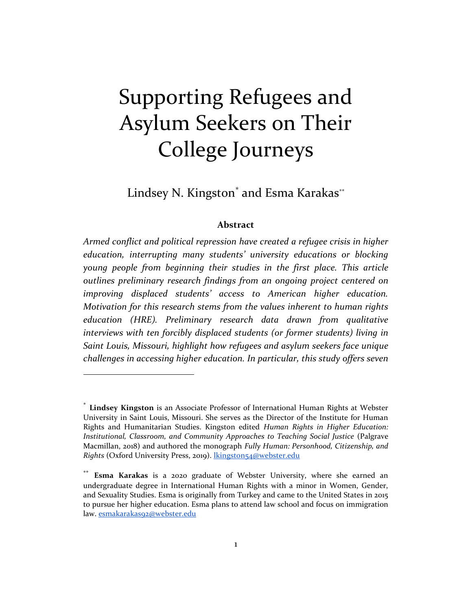# Supporting Refugees and Asylum Seekers on Their College Journeys

Lindsey N. Kingston<sup>\*</sup> and Esma Karakas\*\*

#### **Abstract**

*Armed conflict and political repression have created a refugee crisis in higher education, interrupting many students' university educations or blocking young people from beginning their studies in the first place. This article outlines preliminary research findings from an ongoing project centered on improving displaced students' access to American higher education. Motivation for this research stems from the values inherent to human rights education (HRE). Preliminary research data drawn from qualitative interviews with ten forcibly displaced students (or former students) living in Saint Louis, Missouri, highlight how refugees and asylum seekers face unique challenges in accessing higher education. In particular, this study offers seven* 

<sup>\*</sup> **Lindsey Kingston** is an Associate Professor of International Human Rights at Webster University in Saint Louis, Missouri. She serves as the Director of the Institute for Human Rights and Humanitarian Studies. Kingston edited *Human Rights in Higher Education: Institutional, Classroom, and Community Approaches to Teaching Social Justice* (Palgrave Macmillan, 2018) and authored the monograph *Fully Human: Personhood, Citizenship, and Rights* (Oxford University Press, 2019). [lkingston54@webster.edu](mailto:lkingston54@webster.edu)

**Esma Karakas** is a 2020 graduate of Webster University, where she earned an undergraduate degree in International Human Rights with a minor in Women, Gender, and Sexuality Studies. Esma is originally from Turkey and came to the United States in 2015 to pursue her higher education. Esma plans to attend law school and focus on immigration law. [esmakarakas92@webster.edu](mailto:esmakarakas92@webster.edu)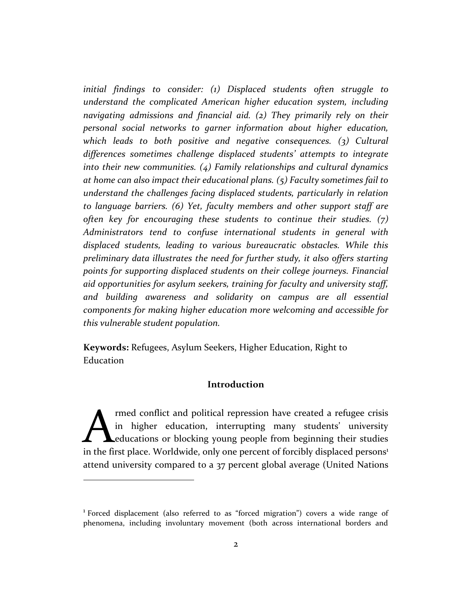*initial findings to consider: (1) Displaced students often struggle to understand the complicated American higher education system, including navigating admissions and financial aid. (2) They primarily rely on their personal social networks to garner information about higher education, which leads to both positive and negative consequences. (3) Cultural differences sometimes challenge displaced students' attempts to integrate into their new communities. (4) Family relationships and cultural dynamics at home can also impact their educational plans. (5) Faculty sometimes fail to understand the challenges facing displaced students, particularly in relation to language barriers. (6) Yet, faculty members and other support staff are often key for encouraging these students to continue their studies. (7) Administrators tend to confuse international students in general with displaced students, leading to various bureaucratic obstacles. While this preliminary data illustrates the need for further study, it also offers starting points for supporting displaced students on their college journeys. Financial aid opportunities for asylum seekers, training for faculty and university staff, and building awareness and solidarity on campus are all essential components for making higher education more welcoming and accessible for this vulnerable student population.*

**Keywords:** Refugees, Asylum Seekers, Higher Education, Right to Education

#### **Introduction**

rmed conflict and political repression have created a refugee crisis in higher education, interrupting many students' university educations or blocking young people from beginning their studies Im the first place. Worldwide, only one percent of forcibly displaced persons<sup>1</sup> educations or blocking young people from beginning their studies in the first place. Worldwide, only one percent of forcibly displaced person attend university compared to a 37 percent global average (United Nations

<sup>1</sup> Forced displacement (also referred to as "forced migration") covers a wide range of phenomena, including involuntary movement (both across international borders and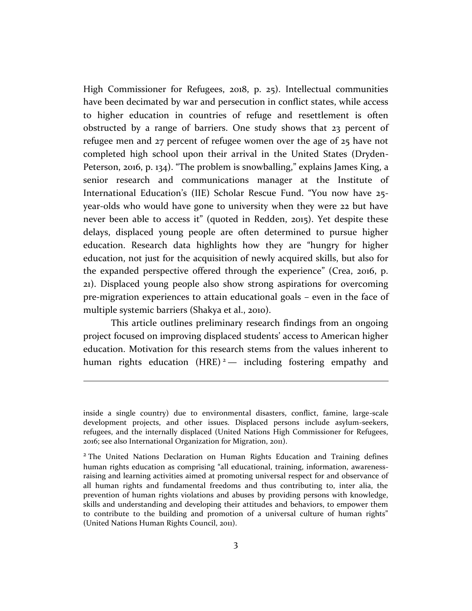High Commissioner for Refugees, 2018, p. 25). Intellectual communities have been decimated by war and persecution in conflict states, while access to higher education in countries of refuge and resettlement is often obstructed by a range of barriers. One study shows that 23 percent of refugee men and 27 percent of refugee women over the age of 25 have not completed high school upon their arrival in the United States (Dryden-Peterson, 2016, p. 134). "The problem is snowballing," explains James King, a senior research and communications manager at the Institute of International Education's (IIE) Scholar Rescue Fund. "You now have 25 year-olds who would have gone to university when they were 22 but have never been able to access it" (quoted in Redden, 2015). Yet despite these delays, displaced young people are often determined to pursue higher education. Research data highlights how they are "hungry for higher education, not just for the acquisition of newly acquired skills, but also for the expanded perspective offered through the experience" (Crea, 2016, p. 21). Displaced young people also show strong aspirations for overcoming pre-migration experiences to attain educational goals – even in the face of multiple systemic barriers (Shakya et al., 2010).

This article outlines preliminary research findings from an ongoing project focused on improving displaced students' access to American higher education. Motivation for this research stems from the values inherent to human rights education (HRE)<sup>2</sup> — including fostering empathy and

inside a single country) due to environmental disasters, conflict, famine, large-scale development projects, and other issues. Displaced persons include asylum-seekers, refugees, and the internally displaced (United Nations High Commissioner for Refugees, 2016; see also International Organization for Migration, 2011).

<sup>&</sup>lt;sup>2</sup> The United Nations Declaration on Human Rights Education and Training defines human rights education as comprising "all educational, training, information, awarenessraising and learning activities aimed at promoting universal respect for and observance of all human rights and fundamental freedoms and thus contributing to, inter alia, the prevention of human rights violations and abuses by providing persons with knowledge, skills and understanding and developing their attitudes and behaviors, to empower them to contribute to the building and promotion of a universal culture of human rights" (United Nations Human Rights Council, 2011).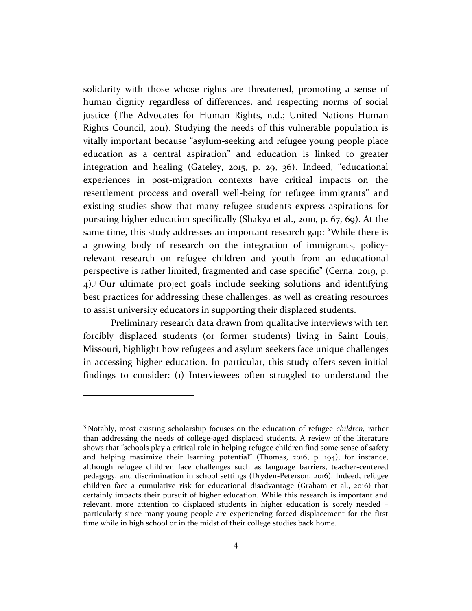solidarity with those whose rights are threatened, promoting a sense of human dignity regardless of differences, and respecting norms of social justice (The Advocates for Human Rights, n.d.; United Nations Human Rights Council, 2011). Studying the needs of this vulnerable population is vitally important because "asylum-seeking and refugee young people place education as a central aspiration" and education is linked to greater integration and healing (Gateley, 2015, p. 29, 36). Indeed, "educational experiences in post-migration contexts have critical impacts on the resettlement process and overall well-being for refugee immigrants'' and existing studies show that many refugee students express aspirations for pursuing higher education specifically (Shakya et al., 2010, p. 67, 69). At the same time, this study addresses an important research gap: "While there is a growing body of research on the integration of immigrants, policyrelevant research on refugee children and youth from an educational perspective is rather limited, fragmented and case specific" (Cerna, 2019, p. 4).<sup>3</sup> Our ultimate project goals include seeking solutions and identifying best practices for addressing these challenges, as well as creating resources to assist university educators in supporting their displaced students.

Preliminary research data drawn from qualitative interviews with ten forcibly displaced students (or former students) living in Saint Louis, Missouri, highlight how refugees and asylum seekers face unique challenges in accessing higher education. In particular, this study offers seven initial findings to consider: (1) Interviewees often struggled to understand the

<sup>3</sup> Notably, most existing scholarship focuses on the education of refugee *children,* rather than addressing the needs of college-aged displaced students. A review of the literature shows that "schools play a critical role in helping refugee children find some sense of safety and helping maximize their learning potential" (Thomas, 2016, p. 194), for instance, although refugee children face challenges such as language barriers, teacher-centered pedagogy, and discrimination in school settings (Dryden-Peterson, 2016). Indeed, refugee children face a cumulative risk for educational disadvantage (Graham et al., 2016) that certainly impacts their pursuit of higher education. While this research is important and relevant, more attention to displaced students in higher education is sorely needed – particularly since many young people are experiencing forced displacement for the first time while in high school or in the midst of their college studies back home.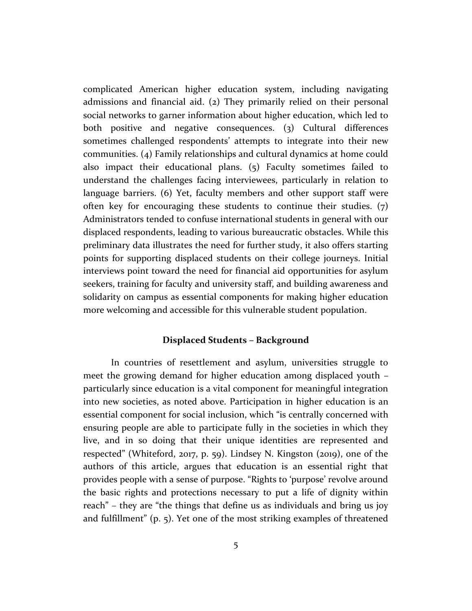complicated American higher education system, including navigating admissions and financial aid. (2) They primarily relied on their personal social networks to garner information about higher education, which led to both positive and negative consequences. (3) Cultural differences sometimes challenged respondents' attempts to integrate into their new communities. (4) Family relationships and cultural dynamics at home could also impact their educational plans. (5) Faculty sometimes failed to understand the challenges facing interviewees, particularly in relation to language barriers. (6) Yet, faculty members and other support staff were often key for encouraging these students to continue their studies. (7) Administrators tended to confuse international students in general with our displaced respondents, leading to various bureaucratic obstacles. While this preliminary data illustrates the need for further study, it also offers starting points for supporting displaced students on their college journeys. Initial interviews point toward the need for financial aid opportunities for asylum seekers, training for faculty and university staff, and building awareness and solidarity on campus as essential components for making higher education more welcoming and accessible for this vulnerable student population.

#### **Displaced Students – Background**

In countries of resettlement and asylum, universities struggle to meet the growing demand for higher education among displaced youth – particularly since education is a vital component for meaningful integration into new societies, as noted above. Participation in higher education is an essential component for social inclusion, which "is centrally concerned with ensuring people are able to participate fully in the societies in which they live, and in so doing that their unique identities are represented and respected" (Whiteford, 2017, p. 59). Lindsey N. Kingston (2019), one of the authors of this article, argues that education is an essential right that provides people with a sense of purpose. "Rights to 'purpose' revolve around the basic rights and protections necessary to put a life of dignity within reach" – they are "the things that define us as individuals and bring us joy and fulfillment" (p. 5). Yet one of the most striking examples of threatened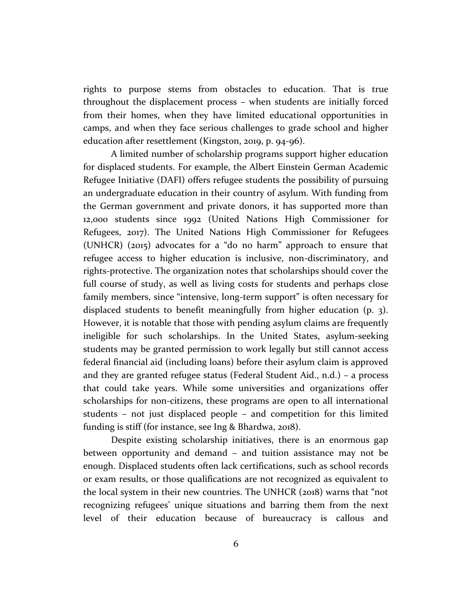rights to purpose stems from obstacles to education. That is true throughout the displacement process – when students are initially forced from their homes, when they have limited educational opportunities in camps, and when they face serious challenges to grade school and higher education after resettlement (Kingston, 2019, p. 94-96).

A limited number of scholarship programs support higher education for displaced students. For example, the Albert Einstein German Academic Refugee Initiative (DAFI) offers refugee students the possibility of pursuing an undergraduate education in their country of asylum. With funding from the German government and private donors, it has supported more than 12,000 students since 1992 (United Nations High Commissioner for Refugees, 2017). The United Nations High Commissioner for Refugees (UNHCR) (2015) advocates for a "do no harm" approach to ensure that refugee access to higher education is inclusive, non-discriminatory, and rights-protective. The organization notes that scholarships should cover the full course of study, as well as living costs for students and perhaps close family members, since "intensive, long-term support" is often necessary for displaced students to benefit meaningfully from higher education (p. 3). However, it is notable that those with pending asylum claims are frequently ineligible for such scholarships. In the United States, asylum-seeking students may be granted permission to work legally but still cannot access federal financial aid (including loans) before their asylum claim is approved and they are granted refugee status (Federal Student Aid., n.d.) – a process that could take years. While some universities and organizations offer scholarships for non-citizens, these programs are open to all international students – not just displaced people – and competition for this limited funding is stiff (for instance, see Ing & Bhardwa, 2018).

Despite existing scholarship initiatives, there is an enormous gap between opportunity and demand – and tuition assistance may not be enough. Displaced students often lack certifications, such as school records or exam results, or those qualifications are not recognized as equivalent to the local system in their new countries. The UNHCR (2018) warns that "not recognizing refugees' unique situations and barring them from the next level of their education because of bureaucracy is callous and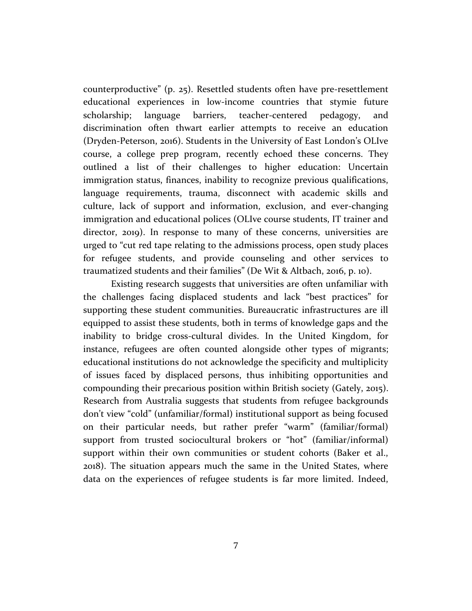counterproductive" (p. 25). Resettled students often have pre-resettlement educational experiences in low-income countries that stymie future scholarship; language barriers, teacher-centered pedagogy, and discrimination often thwart earlier attempts to receive an education (Dryden-Peterson, 2016). Students in the University of East London's OLIve course, a college prep program, recently echoed these concerns. They outlined a list of their challenges to higher education: Uncertain immigration status, finances, inability to recognize previous qualifications, language requirements, trauma, disconnect with academic skills and culture, lack of support and information, exclusion, and ever-changing immigration and educational polices (OLIve course students, IT trainer and director, 2019). In response to many of these concerns, universities are urged to "cut red tape relating to the admissions process, open study places for refugee students, and provide counseling and other services to traumatized students and their families" (De Wit & Altbach, 2016, p. 10).

Existing research suggests that universities are often unfamiliar with the challenges facing displaced students and lack "best practices" for supporting these student communities. Bureaucratic infrastructures are ill equipped to assist these students, both in terms of knowledge gaps and the inability to bridge cross-cultural divides. In the United Kingdom, for instance, refugees are often counted alongside other types of migrants; educational institutions do not acknowledge the specificity and multiplicity of issues faced by displaced persons, thus inhibiting opportunities and compounding their precarious position within British society (Gately, 2015). Research from Australia suggests that students from refugee backgrounds don't view "cold" (unfamiliar/formal) institutional support as being focused on their particular needs, but rather prefer "warm" (familiar/formal) support from trusted sociocultural brokers or "hot" (familiar/informal) support within their own communities or student cohorts (Baker et al., 2018). The situation appears much the same in the United States, where data on the experiences of refugee students is far more limited. Indeed,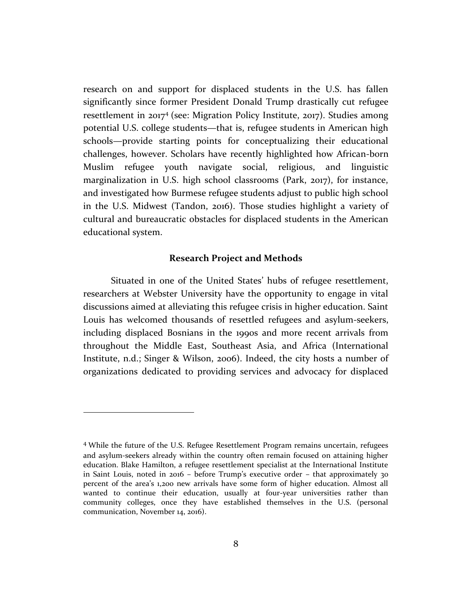research on and support for displaced students in the U.S. has fallen significantly since former President Donald Trump drastically cut refugee resettlement in 2017<sup>4</sup> (see: Migration Policy Institute, 2017). Studies among potential U.S. college students—that is, refugee students in American high schools—provide starting points for conceptualizing their educational challenges, however. Scholars have recently highlighted how African-born Muslim refugee youth navigate social, religious, and linguistic marginalization in U.S. high school classrooms (Park, 2017), for instance, and investigated how Burmese refugee students adjust to public high school in the U.S. Midwest (Tandon, 2016). Those studies highlight a variety of cultural and bureaucratic obstacles for displaced students in the American educational system.

#### **Research Project and Methods**

Situated in one of the United States' hubs of refugee resettlement, researchers at Webster University have the opportunity to engage in vital discussions aimed at alleviating this refugee crisis in higher education. Saint Louis has welcomed thousands of resettled refugees and asylum-seekers, including displaced Bosnians in the 1990s and more recent arrivals from throughout the Middle East, Southeast Asia, and Africa (International Institute, n.d.; Singer & Wilson, 2006). Indeed, the city hosts a number of organizations dedicated to providing services and advocacy for displaced

<sup>4</sup> While the future of the U.S. Refugee Resettlement Program remains uncertain, refugees and asylum-seekers already within the country often remain focused on attaining higher education. Blake Hamilton, a refugee resettlement specialist at the International Institute in Saint Louis, noted in 2016 – before Trump's executive order – that approximately 30 percent of the area's 1,200 new arrivals have some form of higher education. Almost all wanted to continue their education, usually at four-year universities rather than community colleges, once they have established themselves in the U.S. (personal communication, November 14, 2016).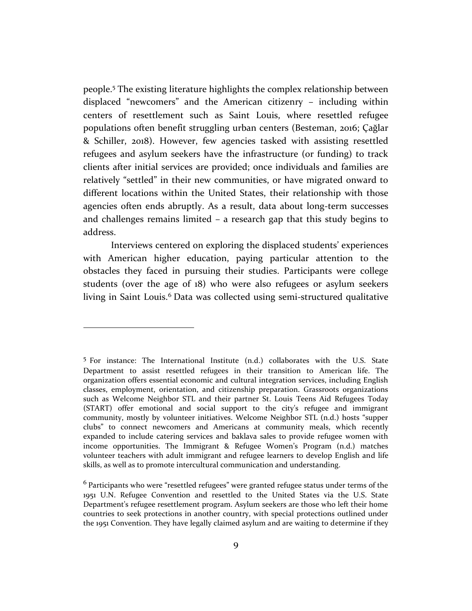people.<sup>5</sup> The existing literature highlights the complex relationship between displaced "newcomers" and the American citizenry – including within centers of resettlement such as Saint Louis, where resettled refugee populations often benefit struggling urban centers (Besteman, 2016; Çağlar & Schiller, 2018). However, few agencies tasked with assisting resettled refugees and asylum seekers have the infrastructure (or funding) to track clients after initial services are provided; once individuals and families are relatively "settled" in their new communities, or have migrated onward to different locations within the United States, their relationship with those agencies often ends abruptly. As a result, data about long-term successes and challenges remains limited – a research gap that this study begins to address.

Interviews centered on exploring the displaced students' experiences with American higher education, paying particular attention to the obstacles they faced in pursuing their studies. Participants were college students (over the age of 18) who were also refugees or asylum seekers living in Saint Louis.<sup>6</sup> Data was collected using semi-structured qualitative

<sup>5</sup> For instance: The International Institute (n.d.) collaborates with the U.S. State Department to assist resettled refugees in their transition to American life. The organization offers essential economic and cultural integration services, including English classes, employment, orientation, and citizenship preparation. Grassroots organizations such as Welcome Neighbor STL and their partner St. Louis Teens Aid Refugees Today (START) offer emotional and social support to the city's refugee and immigrant community, mostly by volunteer initiatives. Welcome Neighbor STL (n.d.) hosts "supper clubs" to connect newcomers and Americans at community meals, which recently expanded to include catering services and baklava sales to provide refugee women with income opportunities. The Immigrant & Refugee Women's Program (n.d.) matches volunteer teachers with adult immigrant and refugee learners to develop English and life skills, as well as to promote intercultural communication and understanding.

<sup>6</sup> Participants who were "resettled refugees" were granted refugee status under terms of the 1951 U.N. Refugee Convention and resettled to the United States via the U.S. State Department's refugee resettlement program. Asylum seekers are those who left their home countries to seek protections in another country, with special protections outlined under the 1951 Convention. They have legally claimed asylum and are waiting to determine if they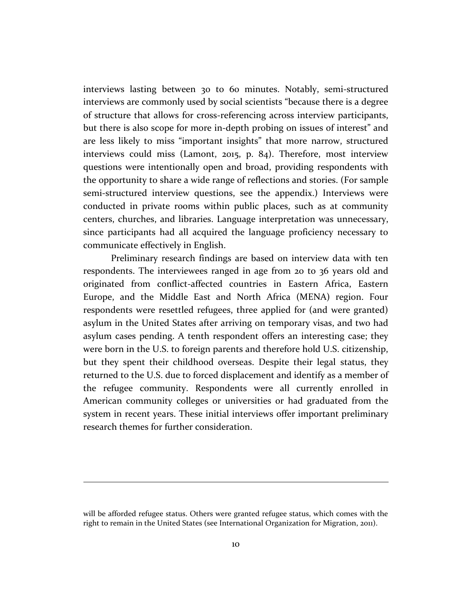interviews lasting between 30 to 60 minutes. Notably, semi-structured interviews are commonly used by social scientists "because there is a degree of structure that allows for cross-referencing across interview participants, but there is also scope for more in-depth probing on issues of interest" and are less likely to miss "important insights" that more narrow, structured interviews could miss (Lamont, 2015, p. 84). Therefore, most interview questions were intentionally open and broad, providing respondents with the opportunity to share a wide range of reflections and stories. (For sample semi-structured interview questions, see the appendix.) Interviews were conducted in private rooms within public places, such as at community centers, churches, and libraries. Language interpretation was unnecessary, since participants had all acquired the language proficiency necessary to communicate effectively in English.

Preliminary research findings are based on interview data with ten respondents. The interviewees ranged in age from 20 to 36 years old and originated from conflict-affected countries in Eastern Africa, Eastern Europe, and the Middle East and North Africa (MENA) region. Four respondents were resettled refugees, three applied for (and were granted) asylum in the United States after arriving on temporary visas, and two had asylum cases pending. A tenth respondent offers an interesting case; they were born in the U.S. to foreign parents and therefore hold U.S. citizenship, but they spent their childhood overseas. Despite their legal status, they returned to the U.S. due to forced displacement and identify as a member of the refugee community. Respondents were all currently enrolled in American community colleges or universities or had graduated from the system in recent years. These initial interviews offer important preliminary research themes for further consideration.

will be afforded refugee status. Others were granted refugee status, which comes with the right to remain in the United States (see International Organization for Migration, 2011).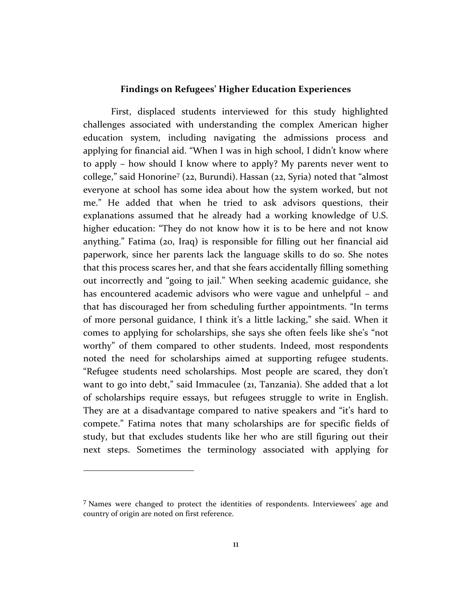#### **Findings on Refugees' Higher Education Experiences**

First, displaced students interviewed for this study highlighted challenges associated with understanding the complex American higher education system, including navigating the admissions process and applying for financial aid. "When I was in high school, I didn't know where to apply – how should I know where to apply? My parents never went to college," said Honorine<sup>7</sup> (22, Burundi). Hassan (22, Syria) noted that "almost everyone at school has some idea about how the system worked, but not me." He added that when he tried to ask advisors questions, their explanations assumed that he already had a working knowledge of U.S. higher education: "They do not know how it is to be here and not know anything." Fatima (20, Iraq) is responsible for filling out her financial aid paperwork, since her parents lack the language skills to do so. She notes that this process scares her, and that she fears accidentally filling something out incorrectly and "going to jail." When seeking academic guidance, she has encountered academic advisors who were vague and unhelpful – and that has discouraged her from scheduling further appointments. "In terms of more personal guidance, I think it's a little lacking," she said. When it comes to applying for scholarships, she says she often feels like she's "not worthy" of them compared to other students. Indeed, most respondents noted the need for scholarships aimed at supporting refugee students. "Refugee students need scholarships. Most people are scared, they don't want to go into debt," said Immaculee (21, Tanzania). She added that a lot of scholarships require essays, but refugees struggle to write in English. They are at a disadvantage compared to native speakers and "it's hard to compete." Fatima notes that many scholarships are for specific fields of study, but that excludes students like her who are still figuring out their next steps. Sometimes the terminology associated with applying for

<sup>7</sup> Names were changed to protect the identities of respondents. Interviewees' age and country of origin are noted on first reference.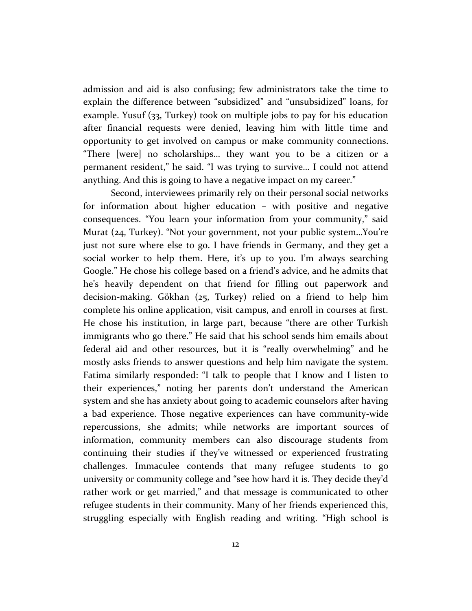admission and aid is also confusing; few administrators take the time to explain the difference between "subsidized" and "unsubsidized" loans, for example. Yusuf (33, Turkey) took on multiple jobs to pay for his education after financial requests were denied, leaving him with little time and opportunity to get involved on campus or make community connections. "There [were] no scholarships… they want you to be a citizen or a permanent resident," he said. "I was trying to survive… I could not attend anything. And this is going to have a negative impact on my career."

Second, interviewees primarily rely on their personal social networks for information about higher education – with positive and negative consequences. "You learn your information from your community," said Murat (24, Turkey). "Not your government, not your public system…You're just not sure where else to go. I have friends in Germany, and they get a social worker to help them. Here, it's up to you. I'm always searching Google." He chose his college based on a friend's advice, and he admits that he's heavily dependent on that friend for filling out paperwork and decision-making. Gökhan (25, Turkey) relied on a friend to help him complete his online application, visit campus, and enroll in courses at first. He chose his institution, in large part, because "there are other Turkish immigrants who go there." He said that his school sends him emails about federal aid and other resources, but it is "really overwhelming" and he mostly asks friends to answer questions and help him navigate the system. Fatima similarly responded: "I talk to people that I know and I listen to their experiences," noting her parents don't understand the American system and she has anxiety about going to academic counselors after having a bad experience. Those negative experiences can have community-wide repercussions, she admits; while networks are important sources of information, community members can also discourage students from continuing their studies if they've witnessed or experienced frustrating challenges. Immaculee contends that many refugee students to go university or community college and "see how hard it is. They decide they'd rather work or get married," and that message is communicated to other refugee students in their community. Many of her friends experienced this, struggling especially with English reading and writing. "High school is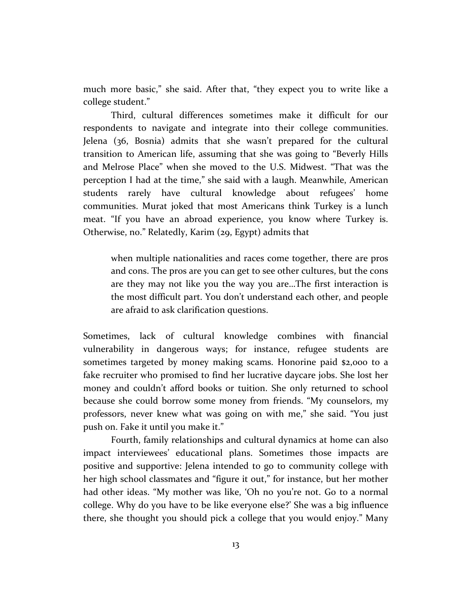much more basic," she said. After that, "they expect you to write like a college student."

Third, cultural differences sometimes make it difficult for our respondents to navigate and integrate into their college communities. Jelena (36, Bosnia) admits that she wasn't prepared for the cultural transition to American life, assuming that she was going to "Beverly Hills and Melrose Place" when she moved to the U.S. Midwest. "That was the perception I had at the time," she said with a laugh. Meanwhile, American students rarely have cultural knowledge about refugees' home communities. Murat joked that most Americans think Turkey is a lunch meat. "If you have an abroad experience, you know where Turkey is. Otherwise, no." Relatedly, Karim (29, Egypt) admits that

when multiple nationalities and races come together, there are pros and cons. The pros are you can get to see other cultures, but the cons are they may not like you the way you are…The first interaction is the most difficult part. You don't understand each other, and people are afraid to ask clarification questions.

Sometimes, lack of cultural knowledge combines with financial vulnerability in dangerous ways; for instance, refugee students are sometimes targeted by money making scams. Honorine paid \$2,000 to a fake recruiter who promised to find her lucrative daycare jobs. She lost her money and couldn't afford books or tuition. She only returned to school because she could borrow some money from friends. "My counselors, my professors, never knew what was going on with me," she said. "You just push on. Fake it until you make it."

Fourth, family relationships and cultural dynamics at home can also impact interviewees' educational plans. Sometimes those impacts are positive and supportive: Jelena intended to go to community college with her high school classmates and "figure it out," for instance, but her mother had other ideas. "My mother was like, 'Oh no you're not. Go to a normal college. Why do you have to be like everyone else?' She was a big influence there, she thought you should pick a college that you would enjoy." Many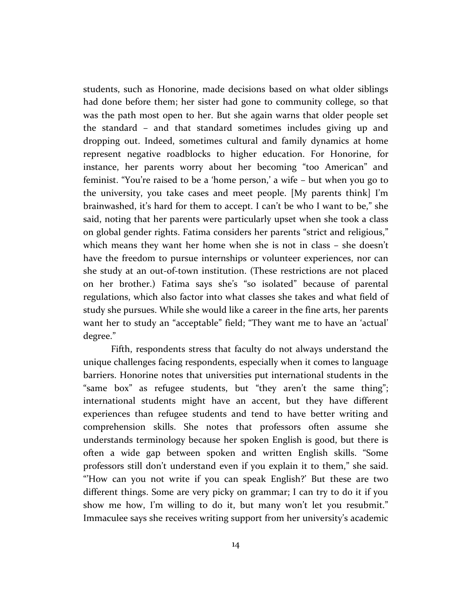students, such as Honorine, made decisions based on what older siblings had done before them; her sister had gone to community college, so that was the path most open to her. But she again warns that older people set the standard – and that standard sometimes includes giving up and dropping out. Indeed, sometimes cultural and family dynamics at home represent negative roadblocks to higher education. For Honorine, for instance, her parents worry about her becoming "too American" and feminist. "You're raised to be a 'home person,' a wife – but when you go to the university, you take cases and meet people. [My parents think] I'm brainwashed, it's hard for them to accept. I can't be who I want to be," she said, noting that her parents were particularly upset when she took a class on global gender rights. Fatima considers her parents "strict and religious," which means they want her home when she is not in class – she doesn't have the freedom to pursue internships or volunteer experiences, nor can she study at an out-of-town institution. (These restrictions are not placed on her brother.) Fatima says she's "so isolated" because of parental regulations, which also factor into what classes she takes and what field of study she pursues. While she would like a career in the fine arts, her parents want her to study an "acceptable" field; "They want me to have an 'actual' degree."

Fifth, respondents stress that faculty do not always understand the unique challenges facing respondents, especially when it comes to language barriers. Honorine notes that universities put international students in the "same box" as refugee students, but "they aren't the same thing"; international students might have an accent, but they have different experiences than refugee students and tend to have better writing and comprehension skills. She notes that professors often assume she understands terminology because her spoken English is good, but there is often a wide gap between spoken and written English skills. "Some professors still don't understand even if you explain it to them," she said. "'How can you not write if you can speak English?' But these are two different things. Some are very picky on grammar; I can try to do it if you show me how, I'm willing to do it, but many won't let you resubmit." Immaculee says she receives writing support from her university's academic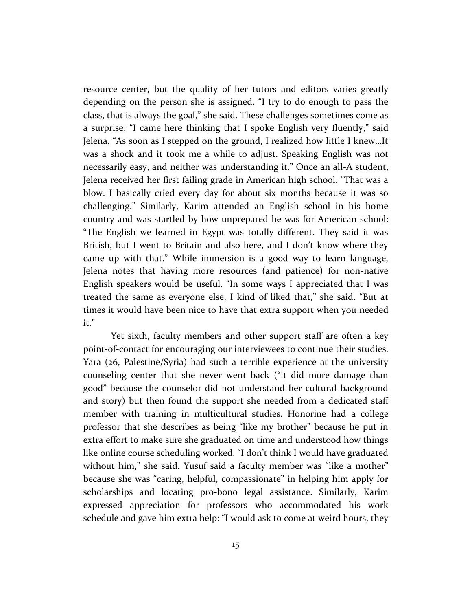resource center, but the quality of her tutors and editors varies greatly depending on the person she is assigned. "I try to do enough to pass the class, that is always the goal," she said. These challenges sometimes come as a surprise: "I came here thinking that I spoke English very fluently," said Jelena. "As soon as I stepped on the ground, I realized how little I knew…It was a shock and it took me a while to adjust. Speaking English was not necessarily easy, and neither was understanding it." Once an all-A student, Jelena received her first failing grade in American high school. "That was a blow. I basically cried every day for about six months because it was so challenging." Similarly, Karim attended an English school in his home country and was startled by how unprepared he was for American school: "The English we learned in Egypt was totally different. They said it was British, but I went to Britain and also here, and I don't know where they came up with that." While immersion is a good way to learn language, Jelena notes that having more resources (and patience) for non-native English speakers would be useful. "In some ways I appreciated that I was treated the same as everyone else, I kind of liked that," she said. "But at times it would have been nice to have that extra support when you needed it."

Yet sixth, faculty members and other support staff are often a key point-of-contact for encouraging our interviewees to continue their studies. Yara (26, Palestine/Syria) had such a terrible experience at the university counseling center that she never went back ("it did more damage than good" because the counselor did not understand her cultural background and story) but then found the support she needed from a dedicated staff member with training in multicultural studies. Honorine had a college professor that she describes as being "like my brother" because he put in extra effort to make sure she graduated on time and understood how things like online course scheduling worked. "I don't think I would have graduated without him," she said. Yusuf said a faculty member was "like a mother" because she was "caring, helpful, compassionate" in helping him apply for scholarships and locating pro-bono legal assistance. Similarly, Karim expressed appreciation for professors who accommodated his work schedule and gave him extra help: "I would ask to come at weird hours, they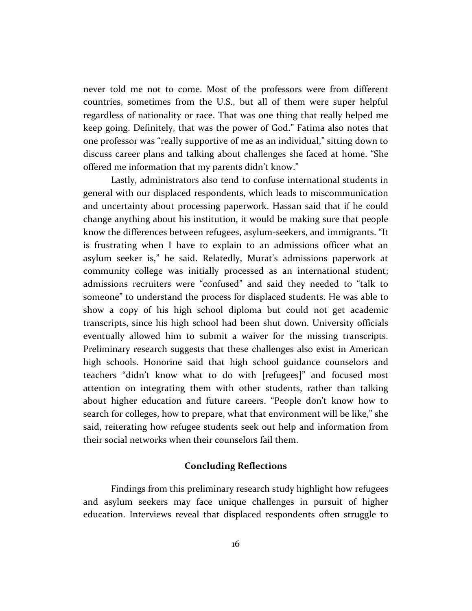never told me not to come. Most of the professors were from different countries, sometimes from the U.S., but all of them were super helpful regardless of nationality or race. That was one thing that really helped me keep going. Definitely, that was the power of God." Fatima also notes that one professor was "really supportive of me as an individual," sitting down to discuss career plans and talking about challenges she faced at home. "She offered me information that my parents didn't know."

Lastly, administrators also tend to confuse international students in general with our displaced respondents, which leads to miscommunication and uncertainty about processing paperwork. Hassan said that if he could change anything about his institution, it would be making sure that people know the differences between refugees, asylum-seekers, and immigrants. "It is frustrating when I have to explain to an admissions officer what an asylum seeker is," he said. Relatedly, Murat's admissions paperwork at community college was initially processed as an international student; admissions recruiters were "confused" and said they needed to "talk to someone" to understand the process for displaced students. He was able to show a copy of his high school diploma but could not get academic transcripts, since his high school had been shut down. University officials eventually allowed him to submit a waiver for the missing transcripts. Preliminary research suggests that these challenges also exist in American high schools. Honorine said that high school guidance counselors and teachers "didn't know what to do with [refugees]" and focused most attention on integrating them with other students, rather than talking about higher education and future careers. "People don't know how to search for colleges, how to prepare, what that environment will be like," she said, reiterating how refugee students seek out help and information from their social networks when their counselors fail them.

#### **Concluding Reflections**

Findings from this preliminary research study highlight how refugees and asylum seekers may face unique challenges in pursuit of higher education. Interviews reveal that displaced respondents often struggle to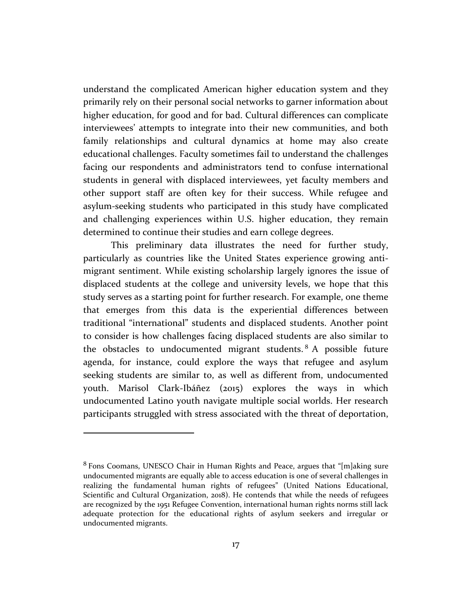understand the complicated American higher education system and they primarily rely on their personal social networks to garner information about higher education, for good and for bad. Cultural differences can complicate interviewees' attempts to integrate into their new communities, and both family relationships and cultural dynamics at home may also create educational challenges. Faculty sometimes fail to understand the challenges facing our respondents and administrators tend to confuse international students in general with displaced interviewees, yet faculty members and other support staff are often key for their success. While refugee and asylum-seeking students who participated in this study have complicated and challenging experiences within U.S. higher education, they remain determined to continue their studies and earn college degrees.

This preliminary data illustrates the need for further study, particularly as countries like the United States experience growing antimigrant sentiment. While existing scholarship largely ignores the issue of displaced students at the college and university levels, we hope that this study serves as a starting point for further research. For example, one theme that emerges from this data is the experiential differences between traditional "international" students and displaced students. Another point to consider is how challenges facing displaced students are also similar to the obstacles to undocumented migrant students. <sup>8</sup> A possible future agenda, for instance, could explore the ways that refugee and asylum seeking students are similar to, as well as different from, undocumented youth. Marisol Clark-Ibáñez (2015) explores the ways in which undocumented Latino youth navigate multiple social worlds. Her research participants struggled with stress associated with the threat of deportation,

<sup>8</sup> Fons Coomans, UNESCO Chair in Human Rights and Peace, argues that "[m]aking sure undocumented migrants are equally able to access education is one of several challenges in realizing the fundamental human rights of refugees" (United Nations Educational, Scientific and Cultural Organization, 2018). He contends that while the needs of refugees are recognized by the 1951 Refugee Convention, international human rights norms still lack adequate protection for the educational rights of asylum seekers and irregular or undocumented migrants.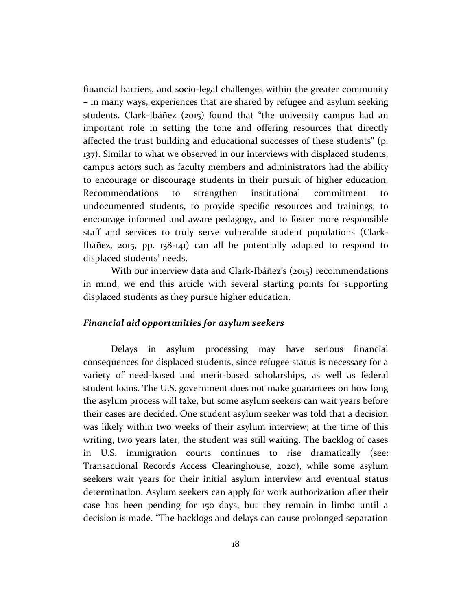financial barriers, and socio-legal challenges within the greater community – in many ways, experiences that are shared by refugee and asylum seeking students. Clark-Ibáñez (2015) found that "the university campus had an important role in setting the tone and offering resources that directly affected the trust building and educational successes of these students" (p. 137). Similar to what we observed in our interviews with displaced students, campus actors such as faculty members and administrators had the ability to encourage or discourage students in their pursuit of higher education. Recommendations to strengthen institutional commitment to undocumented students, to provide specific resources and trainings, to encourage informed and aware pedagogy, and to foster more responsible staff and services to truly serve vulnerable student populations (Clark-Ibáñez, 2015, pp. 138-141) can all be potentially adapted to respond to displaced students' needs.

With our interview data and Clark-Ibáñez's (2015) recommendations in mind, we end this article with several starting points for supporting displaced students as they pursue higher education.

#### *Financial aid opportunities for asylum seekers*

Delays in asylum processing may have serious financial consequences for displaced students, since refugee status is necessary for a variety of need-based and merit-based scholarships, as well as federal student loans. The U.S. government does not make guarantees on how long the asylum process will take, but some asylum seekers can wait years before their cases are decided. One student asylum seeker was told that a decision was likely within two weeks of their asylum interview; at the time of this writing, two years later, the student was still waiting. The backlog of cases in U.S. immigration courts continues to rise dramatically (see: Transactional Records Access Clearinghouse, 2020), while some asylum seekers wait years for their initial asylum interview and eventual status determination. Asylum seekers can apply for work authorization after their case has been pending for 150 days, but they remain in limbo until a decision is made. "The backlogs and delays can cause prolonged separation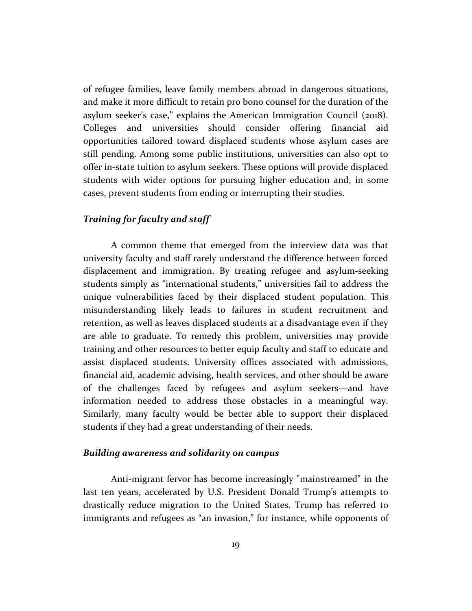of refugee families, leave family members abroad in dangerous situations, and make it more difficult to retain pro bono counsel for the duration of the asylum seeker's case," explains the American Immigration Council (2018). Colleges and universities should consider offering financial aid opportunities tailored toward displaced students whose asylum cases are still pending. Among some public institutions, universities can also opt to offer in-state tuition to asylum seekers. These options will provide displaced students with wider options for pursuing higher education and, in some cases, prevent students from ending or interrupting their studies.

#### *Training for faculty and staff*

A common theme that emerged from the interview data was that university faculty and staff rarely understand the difference between forced displacement and immigration. By treating refugee and asylum-seeking students simply as "international students," universities fail to address the unique vulnerabilities faced by their displaced student population. This misunderstanding likely leads to failures in student recruitment and retention, as well as leaves displaced students at a disadvantage even if they are able to graduate. To remedy this problem, universities may provide training and other resources to better equip faculty and staff to educate and assist displaced students. University offices associated with admissions, financial aid, academic advising, health services, and other should be aware of the challenges faced by refugees and asylum seekers—and have information needed to address those obstacles in a meaningful way. Similarly, many faculty would be better able to support their displaced students if they had a great understanding of their needs.

#### *Building awareness and solidarity on campus*

Anti-migrant fervor has become increasingly "mainstreamed" in the last ten years, accelerated by U.S. President Donald Trump's attempts to drastically reduce migration to the United States. Trump has referred to immigrants and refugees as "an invasion," for instance, while opponents of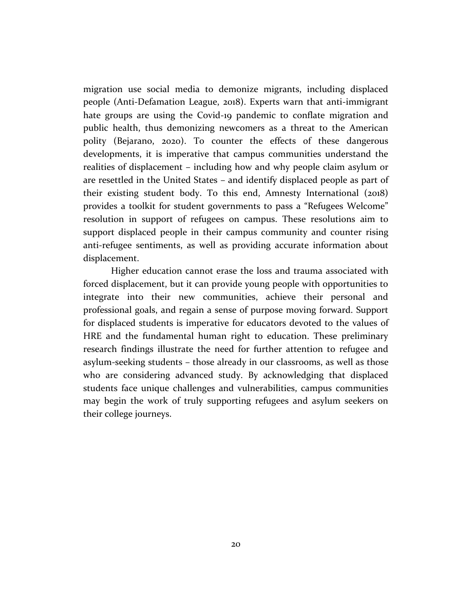migration use social media to demonize migrants, including displaced people (Anti-Defamation League, 2018). Experts warn that anti-immigrant hate groups are using the Covid-19 pandemic to conflate migration and public health, thus demonizing newcomers as a threat to the American polity (Bejarano, 2020). To counter the effects of these dangerous developments, it is imperative that campus communities understand the realities of displacement – including how and why people claim asylum or are resettled in the United States – and identify displaced people as part of their existing student body. To this end, Amnesty International (2018) provides a toolkit for student governments to pass a "Refugees Welcome" resolution in support of refugees on campus. These resolutions aim to support displaced people in their campus community and counter rising anti-refugee sentiments, as well as providing accurate information about displacement.

Higher education cannot erase the loss and trauma associated with forced displacement, but it can provide young people with opportunities to integrate into their new communities, achieve their personal and professional goals, and regain a sense of purpose moving forward. Support for displaced students is imperative for educators devoted to the values of HRE and the fundamental human right to education. These preliminary research findings illustrate the need for further attention to refugee and asylum-seeking students – those already in our classrooms, as well as those who are considering advanced study. By acknowledging that displaced students face unique challenges and vulnerabilities, campus communities may begin the work of truly supporting refugees and asylum seekers on their college journeys.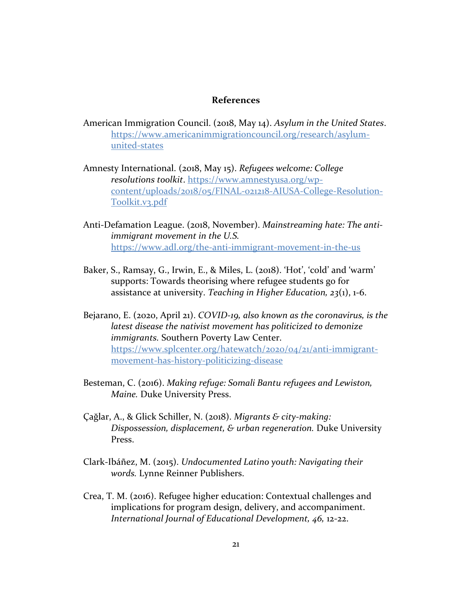#### **References**

- American Immigration Council. (2018, May 14). *Asylum in the United States*. [https://www.americanimmigrationcouncil.org/research/asylum](https://www.americanimmigrationcouncil.org/research/asylum-united-states)[united-states](https://www.americanimmigrationcouncil.org/research/asylum-united-states)
- Amnesty International. (2018, May 15). *Refugees welcome: College resolutions toolkit*. [https://www.amnestyusa.org/wp](https://www.amnestyusa.org/wp-content/uploads/2018/05/FINAL-021218-AIUSA-College-Resolution-Toolkit.v3.pdf)[content/uploads/2018/05/FINAL-021218-AIUSA-College-Resolution-](https://www.amnestyusa.org/wp-content/uploads/2018/05/FINAL-021218-AIUSA-College-Resolution-Toolkit.v3.pdf)[Toolkit.v3.pdf](https://www.amnestyusa.org/wp-content/uploads/2018/05/FINAL-021218-AIUSA-College-Resolution-Toolkit.v3.pdf)
- Anti-Defamation League. (2018, November). *Mainstreaming hate: The antiimmigrant movement in the U.S.*  <https://www.adl.org/the-anti-immigrant-movement-in-the-us>
- Baker, S., Ramsay, G., Irwin, E., & Miles, L. (2018). 'Hot', 'cold' and 'warm' supports: Towards theorising where refugee students go for assistance at university. *Teaching in Higher Education, 23*(1), 1-6.
- Bejarano, E. (2020, April 21). *COVID-19, also known as the coronavirus, is the latest disease the nativist movement has politicized to demonize immigrants.* Southern Poverty Law Center. [https://www.splcenter.org/hatewatch/2020/04/21/anti-immigrant](https://www.splcenter.org/hatewatch/2020/04/21/anti-immigrant-movement-has-history-politicizing-disease)[movement-has-history-politicizing-disease](https://www.splcenter.org/hatewatch/2020/04/21/anti-immigrant-movement-has-history-politicizing-disease)
- Besteman, C. (2016). *Making refuge: Somali Bantu refugees and Lewiston, Maine.* Duke University Press.
- Çağlar, A., & Glick Schiller, N. (2018). *Migrants & city-making: Dispossession, displacement, & urban regeneration.* Duke University Press.
- Clark-Ibáñez, M. (2015). *Undocumented Latino youth: Navigating their words.* Lynne Reinner Publishers.
- Crea, T. M. (2016). Refugee higher education: Contextual challenges and implications for program design, delivery, and accompaniment. *International Journal of Educational Development, 46,* 12-22.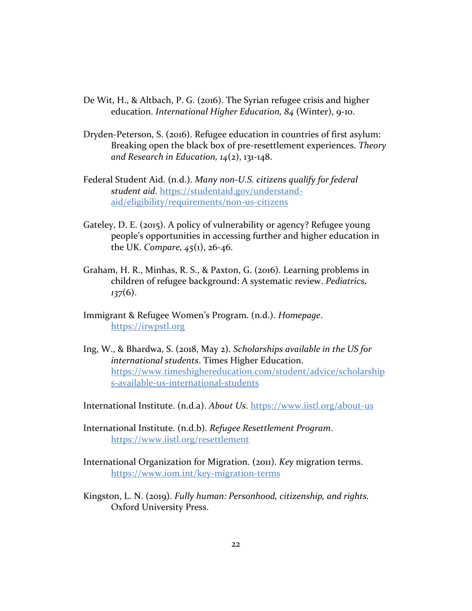- De Wit, H., & Altbach, P. G. (2016). The Syrian refugee crisis and higher education. *International Higher Education, 84* (Winter), 9-10.
- Dryden-Peterson, S. (2016). Refugee education in countries of first asylum: Breaking open the black box of pre-resettlement experiences. *Theory and Research in Education, 14*(2), 131-148.
- Federal Student Aid. (n.d.). *Many non-U.S. citizens qualify for federal student aid*. [https://studentaid.gov/understand](https://studentaid.gov/understand-aid/eligibility/requirements/non-us-citizens)[aid/eligibility/requirements/non-us-citizens](https://studentaid.gov/understand-aid/eligibility/requirements/non-us-citizens)
- Gateley, D. E. (2015). A policy of vulnerability or agency? Refugee young people's opportunities in accessing further and higher education in the UK. *Compare, 45*(1), 26-46.
- Graham, H. R., Minhas, R. S., & Paxton, G. (2016). Learning problems in children of refugee background: A systematic review. *Pediatrics, 137*(6).
- Immigrant & Refugee Women's Program. (n.d.). *Homepage*. [https://irwpstl.org](https://irwpstl.org/)
- Ing, W., & Bhardwa, S. (2018, May 2). *Scholarships available in the US for international students*. Times Higher Education. [https://www.timeshighereducation.com/student/advice/scholarship](https://www.timeshighereducation.com/student/advice/scholarships-available-us-international-students) [s-available-us-international-students](https://www.timeshighereducation.com/student/advice/scholarships-available-us-international-students)

International Institute. (n.d.a). *About Us*.<https://www.iistl.org/about-us>

- International Institute. (n.d.b). *Refugee Resettlement Program*. <https://www.iistl.org/resettlement>
- International Organization for Migration. (2011). *Key* migration terms. <https://www.iom.int/key-migration-terms>
- Kingston, L. N. (2019). *Fully human: Personhood, citizenship, and rights.*  Oxford University Press.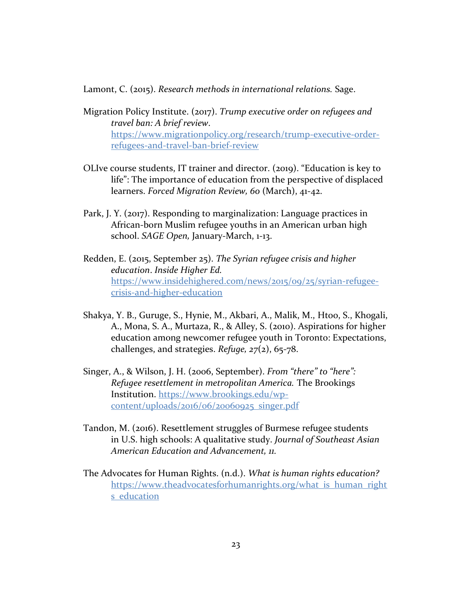Lamont, C. (2015). *Research methods in international relations.* Sage.

- Migration Policy Institute. (2017). *Trump executive order on refugees and travel ban: A brief review*. [https://www.migrationpolicy.org/research/trump-executive-order](https://www.migrationpolicy.org/research/trump-executive-order-refugees-and-travel-ban-brief-review)[refugees-and-travel-ban-brief-review](https://www.migrationpolicy.org/research/trump-executive-order-refugees-and-travel-ban-brief-review)
- OLIve course students, IT trainer and director. (2019). "Education is key to life": The importance of education from the perspective of displaced learners. *Forced Migration Review, 60* (March), 41-42.
- Park, J. Y. (2017). Responding to marginalization: Language practices in African-born Muslim refugee youths in an American urban high school. *SAGE Open,* January-March, 1-13.
- Redden, E. (2015, September 25). *The Syrian refugee crisis and higher education*. *Inside Higher Ed.* [https://www.insidehighered.com/news/2015/09/25/syrian-refugee](https://www.insidehighered.com/news/2015/09/25/syrian-refugee-crisis-and-higher-education)[crisis-and-higher-education](https://www.insidehighered.com/news/2015/09/25/syrian-refugee-crisis-and-higher-education)
- Shakya, Y. B., Guruge, S., Hynie, M., Akbari, A., Malik, M., Htoo, S., Khogali, A., Mona, S. A., Murtaza, R., & Alley, S. (2010). Aspirations for higher education among newcomer refugee youth in Toronto: Expectations, challenges, and strategies. *Refuge, 27*(2), 65-78.
- Singer, A., & Wilson, J. H. (2006, September). *From "there" to "here": Refugee resettlement in metropolitan America.* The Brookings Institution. [https://www.brookings.edu/wp](https://www.brookings.edu/wp-content/uploads/2016/06/20060925_singer.pdf)[content/uploads/2016/06/20060925\\_singer.pdf](https://www.brookings.edu/wp-content/uploads/2016/06/20060925_singer.pdf)
- Tandon, M. (2016). Resettlement struggles of Burmese refugee students in U.S. high schools: A qualitative study. *Journal of Southeast Asian American Education and Advancement, 11.*
- The Advocates for Human Rights. (n.d.). *What is human rights education?* [https://www.theadvocatesforhumanrights.org/what\\_is\\_human\\_right](https://www.theadvocatesforhumanrights.org/what_is_human_rights_education) s education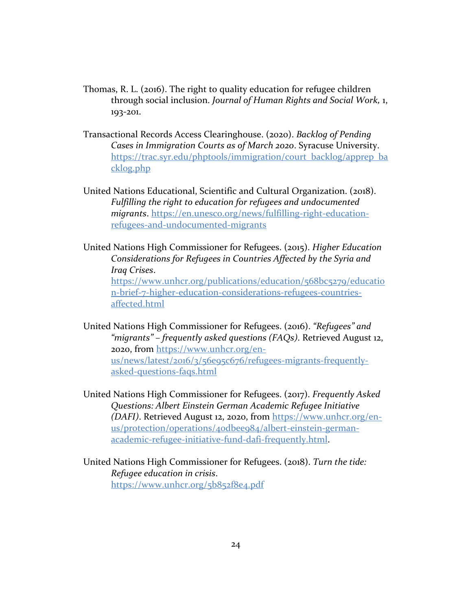- Thomas, R. L. (2016). The right to quality education for refugee children through social inclusion. *Journal of Human Rights and Social Work,* 1, 193-201.
- Transactional Records Access Clearinghouse. (2020). *Backlog of Pending Cases in Immigration Courts as of March 2020*. Syracuse University. [https://trac.syr.edu/phptools/immigration/court\\_backlog/apprep\\_ba](https://trac.syr.edu/phptools/immigration/court_backlog/apprep_backlog.php) [cklog.php](https://trac.syr.edu/phptools/immigration/court_backlog/apprep_backlog.php)
- United Nations Educational, Scientific and Cultural Organization. (2018). *Fulfilling the right to education for refugees and undocumented migrants*. [https://en.unesco.org/news/fulfilling-right-education](https://en.unesco.org/news/fulfilling-right-education-refugees-and-undocumented-migrants)[refugees-and-undocumented-migrants](https://en.unesco.org/news/fulfilling-right-education-refugees-and-undocumented-migrants)
- United Nations High Commissioner for Refugees. (2015). *Higher Education Considerations for Refugees in Countries Affected by the Syria and Iraq Crises*. [https://www.unhcr.org/publications/education/568bc5279/educatio](https://www.unhcr.org/publications/education/568bc5279/education-brief-7-higher-education-considerations-refugees-countries-affected.html) [n-brief-7-higher-education-considerations-refugees-countries](https://www.unhcr.org/publications/education/568bc5279/education-brief-7-higher-education-considerations-refugees-countries-affected.html)[affected.html](https://www.unhcr.org/publications/education/568bc5279/education-brief-7-higher-education-considerations-refugees-countries-affected.html)
- United Nations High Commissioner for Refugees. (2016). *"Refugees" and "migrants" – frequently asked questions (FAQs)*. Retrieved August 12, 2020, from [https://www.unhcr.org/en](https://www.unhcr.org/en-us/news/latest/2016/3/56e95c676/refugees-migrants-frequently-asked-questions-faqs.html)[us/news/latest/2016/3/56e95c676/refugees-migrants-frequently](https://www.unhcr.org/en-us/news/latest/2016/3/56e95c676/refugees-migrants-frequently-asked-questions-faqs.html)[asked-questions-faqs.html](https://www.unhcr.org/en-us/news/latest/2016/3/56e95c676/refugees-migrants-frequently-asked-questions-faqs.html)
- United Nations High Commissioner for Refugees. (2017). *Frequently Asked Questions: Albert Einstein German Academic Refugee Initiative (DAFI)*. Retrieved August 12, 2020, from [https://www.unhcr.org/en](https://www.unhcr.org/en-us/protection/operations/40dbee984/albert-einstein-german-academic-refugee-initiative-fund-dafi-frequently.html)[us/protection/operations/40dbee984/albert-einstein-german](https://www.unhcr.org/en-us/protection/operations/40dbee984/albert-einstein-german-academic-refugee-initiative-fund-dafi-frequently.html)[academic-refugee-initiative-fund-dafi-frequently.html.](https://www.unhcr.org/en-us/protection/operations/40dbee984/albert-einstein-german-academic-refugee-initiative-fund-dafi-frequently.html)
- United Nations High Commissioner for Refugees. (2018). *Turn the tide: Refugee education in crisis*. <https://www.unhcr.org/5b852f8e4.pdf>